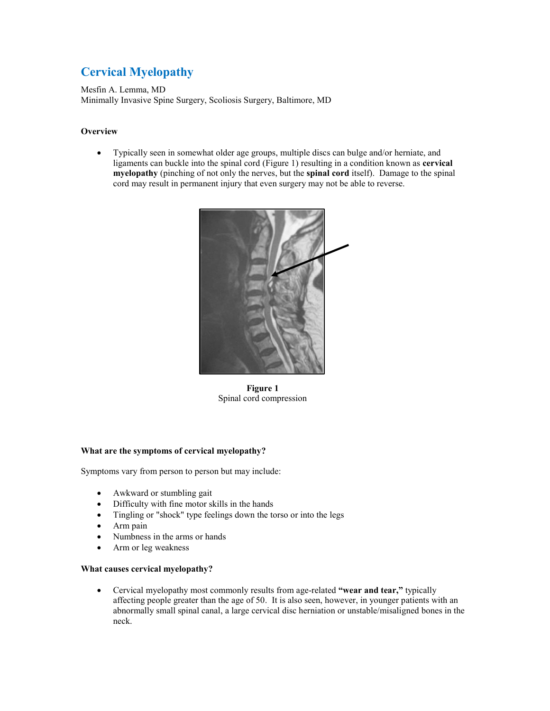# **Cervical Myelopathy**

Mesfin A. Lemma, MD Minimally Invasive Spine Surgery, Scoliosis Surgery, Baltimore, MD

## **Overview**

 Typically seen in somewhat older age groups, multiple discs can bulge and/or herniate, and ligaments can buckle into the spinal cord (Figure 1) resulting in a condition known as **cervical myelopathy** (pinching of not only the nerves, but the **spinal cord** itself). Damage to the spinal cord may result in permanent injury that even surgery may not be able to reverse.



**Figure 1** Spinal cord compression

### **What are the symptoms of cervical myelopathy?**

Symptoms vary from person to person but may include:

- Awkward or stumbling gait
- Difficulty with fine motor skills in the hands
- Tingling or "shock" type feelings down the torso or into the legs
- Arm pain
- Numbness in the arms or hands
- Arm or leg weakness

#### **What causes cervical myelopathy?**

 Cervical myelopathy most commonly results from age-related **"wear and tear,"** typically affecting people greater than the age of 50. It is also seen, however, in younger patients with an abnormally small spinal canal, a large cervical disc herniation or unstable/misaligned bones in the neck.